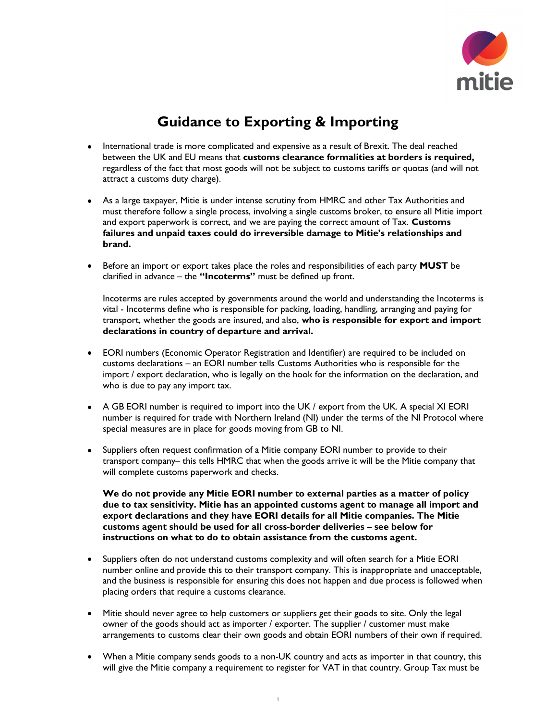

## Guidance to Exporting & Importing

- International trade is more complicated and expensive as a result of Brexit. The deal reached between the UK and EU means that customs clearance formalities at borders is required, regardless of the fact that most goods will not be subject to customs tariffs or quotas (and will not attract a customs duty charge).
- As a large taxpayer, Mitie is under intense scrutiny from HMRC and other Tax Authorities and must therefore follow a single process, involving a single customs broker, to ensure all Mitie import and export paperwork is correct, and we are paying the correct amount of Tax. Customs failures and unpaid taxes could do irreversible damage to Mitie's relationships and brand.
- Before an import or export takes place the roles and responsibilities of each party MUST be clarified in advance – the "Incoterms" must be defined up front.

Incoterms are rules accepted by governments around the world and understanding the Incoterms is vital - Incoterms define who is responsible for packing, loading, handling, arranging and paying for transport, whether the goods are insured, and also, who is responsible for export and import declarations in country of departure and arrival.

- EORI numbers (Economic Operator Registration and Identifier) are required to be included on customs declarations – an EORI number tells Customs Authorities who is responsible for the import / export declaration, who is legally on the hook for the information on the declaration, and who is due to pay any import tax.
- A GB EORI number is required to import into the UK / export from the UK. A special XI EORI number is required for trade with Northern Ireland (NI) under the terms of the NI Protocol where special measures are in place for goods moving from GB to NI.
- Suppliers often request confirmation of a Mitie company EORI number to provide to their transport company– this tells HMRC that when the goods arrive it will be the Mitie company that will complete customs paperwork and checks.

We do not provide any Mitie EORI number to external parties as a matter of policy due to tax sensitivity. Mitie has an appointed customs agent to manage all import and export declarations and they have EORI details for all Mitie companies. The Mitie customs agent should be used for all cross-border deliveries – see below for instructions on what to do to obtain assistance from the customs agent.

- Suppliers often do not understand customs complexity and will often search for a Mitie EORI number online and provide this to their transport company. This is inappropriate and unacceptable, and the business is responsible for ensuring this does not happen and due process is followed when placing orders that require a customs clearance.
- Mitie should never agree to help customers or suppliers get their goods to site. Only the legal owner of the goods should act as importer / exporter. The supplier / customer must make arrangements to customs clear their own goods and obtain EORI numbers of their own if required.
- When a Mitie company sends goods to a non-UK country and acts as importer in that country, this will give the Mitie company a requirement to register for VAT in that country. Group Tax must be